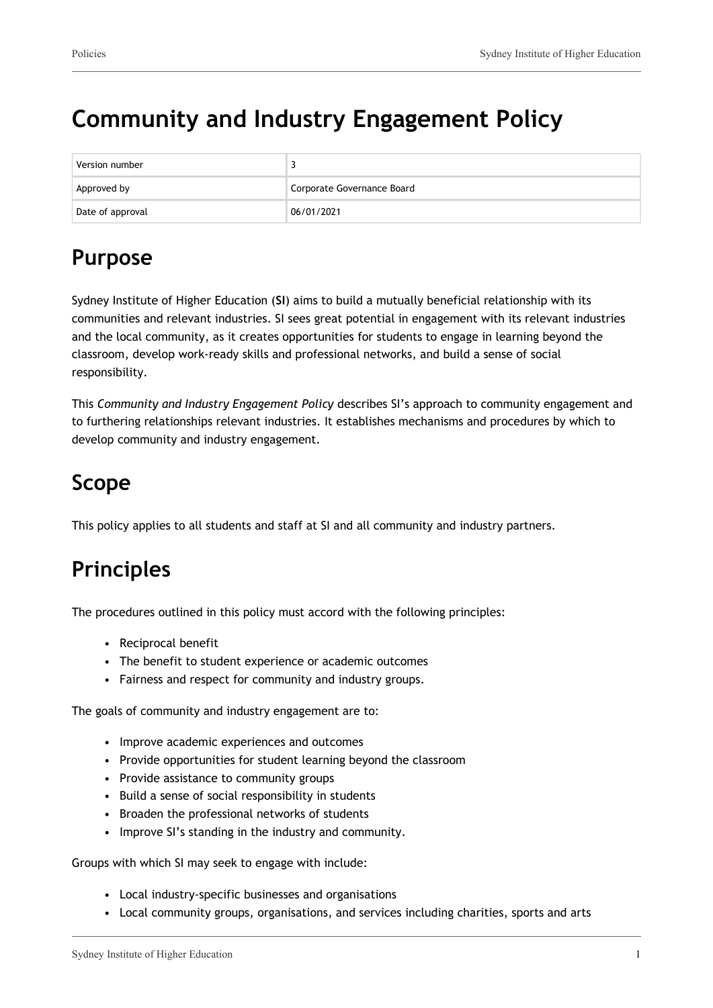# **Community and Industry Engagement Policy**

| Version number   |                            |
|------------------|----------------------------|
| Approved by      | Corporate Governance Board |
| Date of approval | 06/01/2021                 |

## **Purpose**

Sydney Institute of Higher Education (**SI**) aims to build a mutually beneficial relationship with its communities and relevant industries. SI sees great potential in engagement with its relevant industries and the local community, as it creates opportunities for students to engage in learning beyond the classroom, develop work-ready skills and professional networks, and build a sense of social responsibility.

This *Community and Industry Engagement Policy* describes SI's approach to community engagement and to furthering relationships relevant industries. It establishes mechanisms and procedures by which to develop community and industry engagement.

## **Scope**

This policy applies to all students and staff at SI and all community and industry partners.

## **Principles**

The procedures outlined in this policy must accord with the following principles:

- Reciprocal benefit
- The benefit to student experience or academic outcomes
- Fairness and respect for community and industry groups.

The goals of community and industry engagement are to:

- Improve academic experiences and outcomes
- Provide opportunities for student learning beyond the classroom
- Provide assistance to community groups
- Build a sense of social responsibility in students
- Broaden the professional networks of students
- Improve SI's standing in the industry and community.

Groups with which SI may seek to engage with include:

- Local industry-specific businesses and organisations
- Local community groups, organisations, and services including charities, sports and arts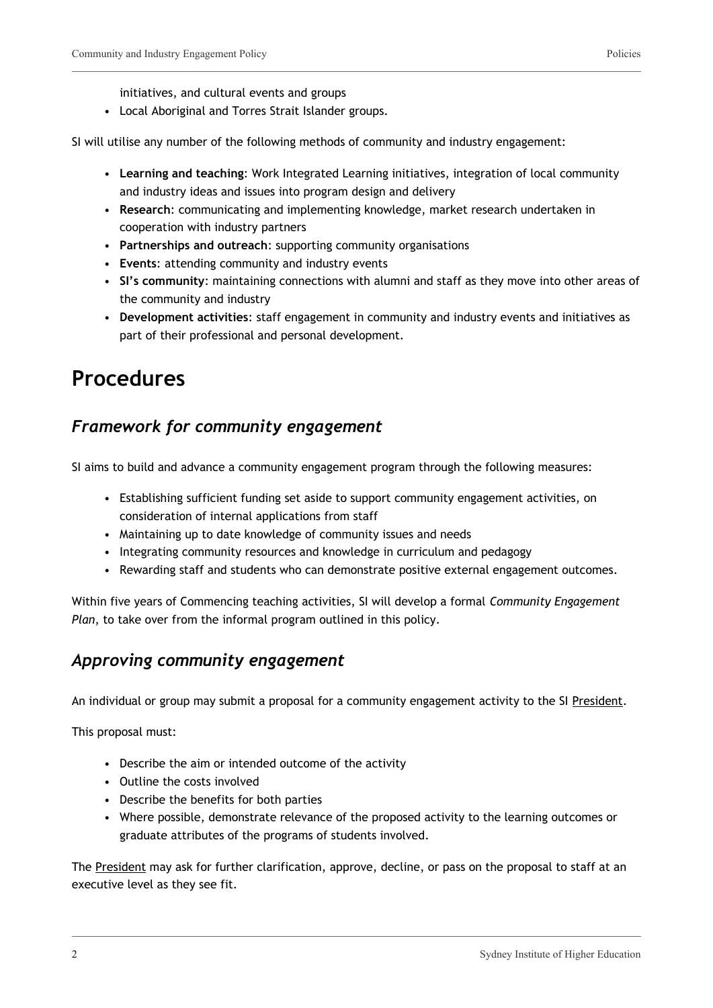initiatives, and cultural events and groups

• Local Aboriginal and Torres Strait Islander groups.

SI will utilise any number of the following methods of community and industry engagement:

- **Learning and teaching**: Work Integrated Learning initiatives, integration of local community and industry ideas and issues into program design and delivery
- **Research**: communicating and implementing knowledge, market research undertaken in cooperation with industry partners
- **Partnerships and outreach**: supporting community organisations
- **Events**: attending community and industry events
- **SI's community**: maintaining connections with alumni and staff as they move into other areas of the community and industry
- **Development activities**: staff engagement in community and industry events and initiatives as part of their professional and personal development.

### **Procedures**

#### *Framework for community engagement*

SI aims to build and advance a community engagement program through the following measures:

- Establishing sufficient funding set aside to support community engagement activities, on consideration of internal applications from staff
- Maintaining up to date knowledge of community issues and needs
- Integrating community resources and knowledge in curriculum and pedagogy
- Rewarding staff and students who can demonstrate positive external engagement outcomes.

Within five years of Commencing teaching activities, SI will develop a formal *Community Engagement Plan*, to take over from the informal program outlined in this policy.

#### *Approving community engagement*

An individual or group may submit a proposal for a community engagement activity to the SI President.

This proposal must:

- Describe the aim or intended outcome of the activity
- Outline the costs involved
- Describe the benefits for both parties
- Where possible, demonstrate relevance of the proposed activity to the learning outcomes or graduate attributes of the programs of students involved.

The President may ask for further clarification, approve, decline, or pass on the proposal to staff at an executive level as they see fit.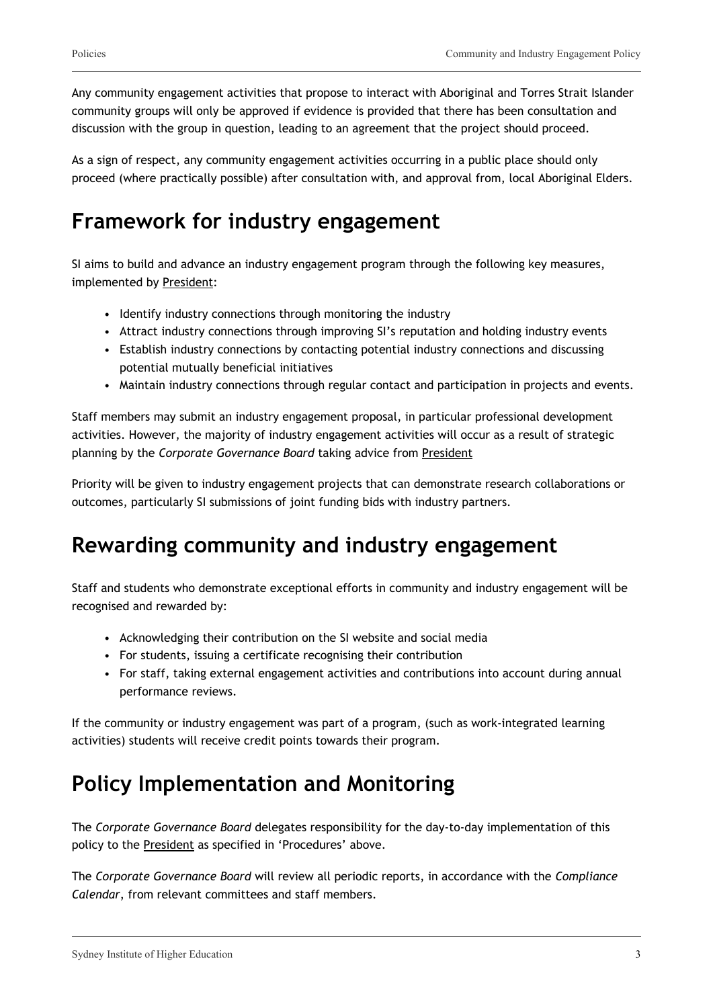Any community engagement activities that propose to interact with Aboriginal and Torres Strait Islander community groups will only be approved if evidence is provided that there has been consultation and discussion with the group in question, leading to an agreement that the project should proceed.

As a sign of respect, any community engagement activities occurring in a public place should only proceed (where practically possible) after consultation with, and approval from, local Aboriginal Elders.

### **Framework for industry engagement**

SI aims to build and advance an industry engagement program through the following key measures, implemented by President:

- Identify industry connections through monitoring the industry
- Attract industry connections through improving SI's reputation and holding industry events
- Establish industry connections by contacting potential industry connections and discussing potential mutually beneficial initiatives
- Maintain industry connections through regular contact and participation in projects and events.

Staff members may submit an industry engagement proposal, in particular professional development activities. However, the majority of industry engagement activities will occur as a result of strategic planning by the *Corporate Governance Board* taking advice from President

Priority will be given to industry engagement projects that can demonstrate research collaborations or outcomes, particularly SI submissions of joint funding bids with industry partners.

### **Rewarding community and industry engagement**

Staff and students who demonstrate exceptional efforts in community and industry engagement will be recognised and rewarded by:

- Acknowledging their contribution on the SI website and social media
- For students, issuing a certificate recognising their contribution
- For staff, taking external engagement activities and contributions into account during annual performance reviews.

If the community or industry engagement was part of a program, (such as work-integrated learning activities) students will receive credit points towards their program.

## **Policy Implementation and Monitoring**

The *Corporate Governance Board* delegates responsibility for the day-to-day implementation of this policy to the President as specified in 'Procedures' above.

The *Corporate Governance Board* will review all periodic reports, in accordance with the *Compliance Calendar*, from relevant committees and staff members.